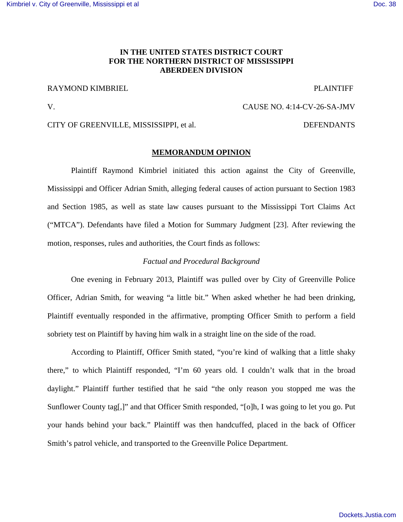# **IN THE UNITED STATES DISTRICT COURT FOR THE NORTHERN DISTRICT OF MISSISSIPPI ABERDEEN DIVISION**

# RAYMOND KIMBRIEL THE PLAINTIFF

# V. CAUSE NO. 4:14-CV-26-SA-JMV

# CITY OF GREENVILLE, MISSISSIPPI, et al. DEFENDANTS

## **MEMORANDUM OPINION**

 Plaintiff Raymond Kimbriel initiated this action against the City of Greenville, Mississippi and Officer Adrian Smith, alleging federal causes of action pursuant to Section 1983 and Section 1985, as well as state law causes pursuant to the Mississippi Tort Claims Act ("MTCA"). Defendants have filed a Motion for Summary Judgment [23]. After reviewing the motion, responses, rules and authorities, the Court finds as follows:

## *Factual and Procedural Background*

One evening in February 2013, Plaintiff was pulled over by City of Greenville Police Officer, Adrian Smith, for weaving "a little bit." When asked whether he had been drinking, Plaintiff eventually responded in the affirmative, prompting Officer Smith to perform a field sobriety test on Plaintiff by having him walk in a straight line on the side of the road.

According to Plaintiff, Officer Smith stated, "you're kind of walking that a little shaky there," to which Plaintiff responded, "I'm 60 years old. I couldn't walk that in the broad daylight." Plaintiff further testified that he said "the only reason you stopped me was the Sunflower County tag[,]" and that Officer Smith responded, "[o]h, I was going to let you go. Put your hands behind your back." Plaintiff was then handcuffed, placed in the back of Officer Smith's patrol vehicle, and transported to the Greenville Police Department.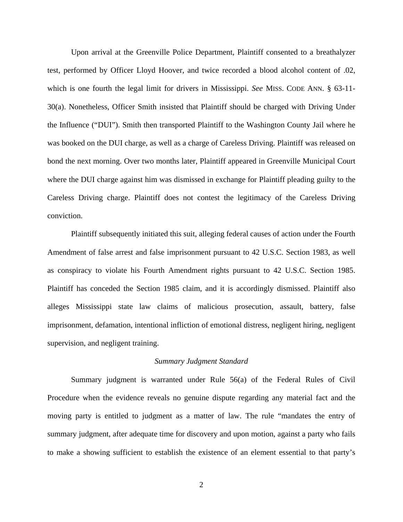Upon arrival at the Greenville Police Department, Plaintiff consented to a breathalyzer test, performed by Officer Lloyd Hoover, and twice recorded a blood alcohol content of .02, which is one fourth the legal limit for drivers in Mississippi. *See* MISS. CODE ANN. § 63-11- 30(a). Nonetheless, Officer Smith insisted that Plaintiff should be charged with Driving Under the Influence ("DUI"). Smith then transported Plaintiff to the Washington County Jail where he was booked on the DUI charge, as well as a charge of Careless Driving. Plaintiff was released on bond the next morning. Over two months later, Plaintiff appeared in Greenville Municipal Court where the DUI charge against him was dismissed in exchange for Plaintiff pleading guilty to the Careless Driving charge. Plaintiff does not contest the legitimacy of the Careless Driving conviction.

 Plaintiff subsequently initiated this suit, alleging federal causes of action under the Fourth Amendment of false arrest and false imprisonment pursuant to 42 U.S.C. Section 1983, as well as conspiracy to violate his Fourth Amendment rights pursuant to 42 U.S.C. Section 1985. Plaintiff has conceded the Section 1985 claim, and it is accordingly dismissed. Plaintiff also alleges Mississippi state law claims of malicious prosecution, assault, battery, false imprisonment, defamation, intentional infliction of emotional distress, negligent hiring, negligent supervision, and negligent training.

### *Summary Judgment Standard*

Summary judgment is warranted under Rule 56(a) of the Federal Rules of Civil Procedure when the evidence reveals no genuine dispute regarding any material fact and the moving party is entitled to judgment as a matter of law. The rule "mandates the entry of summary judgment, after adequate time for discovery and upon motion, against a party who fails to make a showing sufficient to establish the existence of an element essential to that party's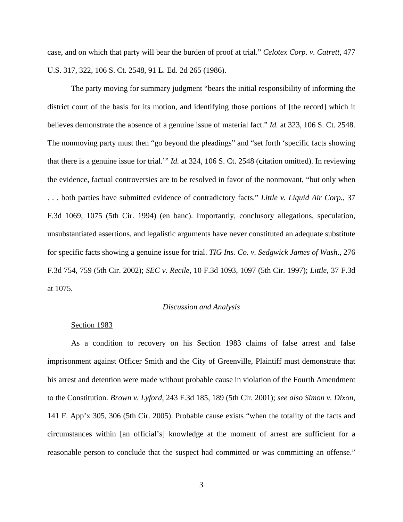case, and on which that party will bear the burden of proof at trial." *Celotex Corp. v. Catrett,* 477 U.S. 317, 322, 106 S. Ct. 2548, 91 L. Ed. 2d 265 (1986).

The party moving for summary judgment "bears the initial responsibility of informing the district court of the basis for its motion, and identifying those portions of [the record] which it believes demonstrate the absence of a genuine issue of material fact." *Id.* at 323, 106 S. Ct. 2548. The nonmoving party must then "go beyond the pleadings" and "set forth 'specific facts showing that there is a genuine issue for trial.'" *Id.* at 324, 106 S. Ct. 2548 (citation omitted). In reviewing the evidence, factual controversies are to be resolved in favor of the nonmovant, "but only when . . . both parties have submitted evidence of contradictory facts." *Little v. Liquid Air Corp.*, 37 F.3d 1069, 1075 (5th Cir. 1994) (en banc). Importantly, conclusory allegations, speculation, unsubstantiated assertions, and legalistic arguments have never constituted an adequate substitute for specific facts showing a genuine issue for trial. *TIG Ins. Co. v. Sedgwick James of Wash.*, 276 F.3d 754, 759 (5th Cir. 2002); *SEC v. Recile*, 10 F.3d 1093, 1097 (5th Cir. 1997); *Little*, 37 F.3d at 1075.

## *Discussion and Analysis*

#### Section 1983

 As a condition to recovery on his Section 1983 claims of false arrest and false imprisonment against Officer Smith and the City of Greenville, Plaintiff must demonstrate that his arrest and detention were made without probable cause in violation of the Fourth Amendment to the Constitution. *Brown v. Lyford*, 243 F.3d 185, 189 (5th Cir. 2001); *see also Simon v. Dixon*, 141 F. App'x 305, 306 (5th Cir. 2005). Probable cause exists "when the totality of the facts and circumstances within [an official's] knowledge at the moment of arrest are sufficient for a reasonable person to conclude that the suspect had committed or was committing an offense."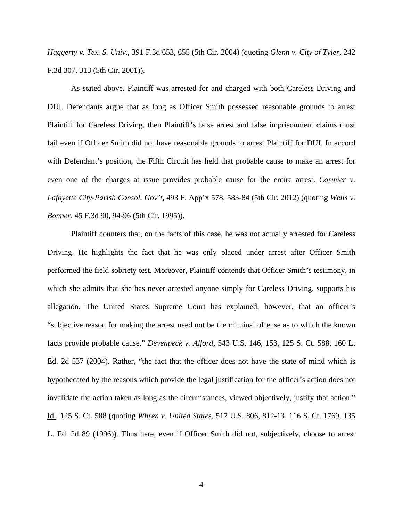*Haggerty v. Tex. S. Univ.*, 391 F.3d 653, 655 (5th Cir. 2004) (quoting *Glenn v. City of Tyler*, 242 F.3d 307, 313 (5th Cir. 2001)).

 As stated above, Plaintiff was arrested for and charged with both Careless Driving and DUI. Defendants argue that as long as Officer Smith possessed reasonable grounds to arrest Plaintiff for Careless Driving, then Plaintiff's false arrest and false imprisonment claims must fail even if Officer Smith did not have reasonable grounds to arrest Plaintiff for DUI. In accord with Defendant's position, the Fifth Circuit has held that probable cause to make an arrest for even one of the charges at issue provides probable cause for the entire arrest. *Cormier v. Lafayette City-Parish Consol. Gov't*, 493 F. App'x 578, 583-84 (5th Cir. 2012) (quoting *Wells v. Bonner*, 45 F.3d 90, 94-96 (5th Cir. 1995)).

 Plaintiff counters that, on the facts of this case, he was not actually arrested for Careless Driving. He highlights the fact that he was only placed under arrest after Officer Smith performed the field sobriety test. Moreover, Plaintiff contends that Officer Smith's testimony, in which she admits that she has never arrested anyone simply for Careless Driving, supports his allegation. The United States Supreme Court has explained, however, that an officer's "subjective reason for making the arrest need not be the criminal offense as to which the known facts provide probable cause." *Devenpeck v. Alford*, 543 U.S. 146, 153, 125 S. Ct. 588, 160 L. Ed. 2d 537 (2004). Rather, "the fact that the officer does not have the state of mind which is hypothecated by the reasons which provide the legal justification for the officer's action does not invalidate the action taken as long as the circumstances, viewed objectively, justify that action." Id., 125 S. Ct. 588 (quoting *Whren v. United States*, 517 U.S. 806, 812-13, 116 S. Ct. 1769, 135 L. Ed. 2d 89 (1996)). Thus here, even if Officer Smith did not, subjectively, choose to arrest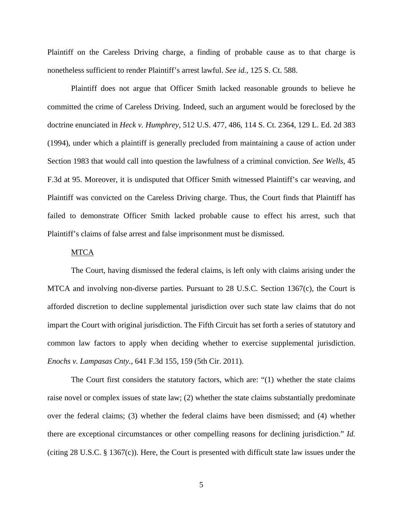Plaintiff on the Careless Driving charge, a finding of probable cause as to that charge is nonetheless sufficient to render Plaintiff's arrest lawful. *See id.*, 125 S. Ct. 588.

 Plaintiff does not argue that Officer Smith lacked reasonable grounds to believe he committed the crime of Careless Driving. Indeed, such an argument would be foreclosed by the doctrine enunciated in *Heck v. Humphrey*, 512 U.S. 477, 486, 114 S. Ct. 2364, 129 L. Ed. 2d 383 (1994), under which a plaintiff is generally precluded from maintaining a cause of action under Section 1983 that would call into question the lawfulness of a criminal conviction. *See Wells*, 45 F.3d at 95. Moreover, it is undisputed that Officer Smith witnessed Plaintiff's car weaving, and Plaintiff was convicted on the Careless Driving charge. Thus, the Court finds that Plaintiff has failed to demonstrate Officer Smith lacked probable cause to effect his arrest, such that Plaintiff's claims of false arrest and false imprisonment must be dismissed.

## MTCA

 The Court, having dismissed the federal claims, is left only with claims arising under the MTCA and involving non-diverse parties. Pursuant to 28 U.S.C. Section 1367(c), the Court is afforded discretion to decline supplemental jurisdiction over such state law claims that do not impart the Court with original jurisdiction. The Fifth Circuit has set forth a series of statutory and common law factors to apply when deciding whether to exercise supplemental jurisdiction. *Enochs v. Lampasas Cnty.*, 641 F.3d 155, 159 (5th Cir. 2011).

The Court first considers the statutory factors, which are: "(1) whether the state claims raise novel or complex issues of state law; (2) whether the state claims substantially predominate over the federal claims; (3) whether the federal claims have been dismissed; and (4) whether there are exceptional circumstances or other compelling reasons for declining jurisdiction." *Id.* (citing 28 U.S.C. § 1367(c)). Here, the Court is presented with difficult state law issues under the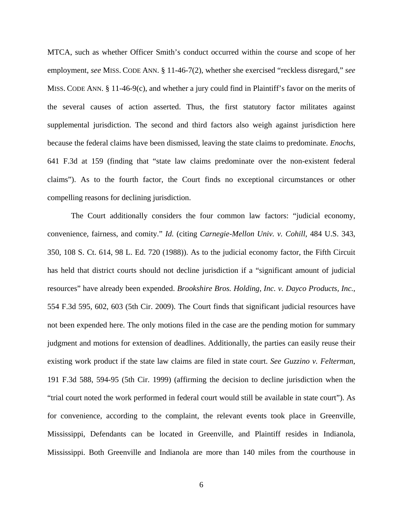MTCA, such as whether Officer Smith's conduct occurred within the course and scope of her employment, *see* MISS. CODE ANN. § 11-46-7(2), whether she exercised "reckless disregard," *see* MISS. CODE ANN. § 11-46-9(c), and whether a jury could find in Plaintiff's favor on the merits of the several causes of action asserted. Thus, the first statutory factor militates against supplemental jurisdiction. The second and third factors also weigh against jurisdiction here because the federal claims have been dismissed, leaving the state claims to predominate. *Enochs*, 641 F.3d at 159 (finding that "state law claims predominate over the non-existent federal claims"). As to the fourth factor, the Court finds no exceptional circumstances or other compelling reasons for declining jurisdiction.

The Court additionally considers the four common law factors: "judicial economy, convenience, fairness, and comity." *Id.* (citing *Carnegie-Mellon Univ. v. Cohill*, 484 U.S. 343, 350, 108 S. Ct. 614, 98 L. Ed. 720 (1988)). As to the judicial economy factor, the Fifth Circuit has held that district courts should not decline jurisdiction if a "significant amount of judicial resources" have already been expended. *Brookshire Bros. Holding, Inc. v. Dayco Products, Inc.*, 554 F.3d 595, 602, 603 (5th Cir. 2009). The Court finds that significant judicial resources have not been expended here. The only motions filed in the case are the pending motion for summary judgment and motions for extension of deadlines. Additionally, the parties can easily reuse their existing work product if the state law claims are filed in state court. *See Guzzino v. Felterman*, 191 F.3d 588, 594-95 (5th Cir. 1999) (affirming the decision to decline jurisdiction when the "trial court noted the work performed in federal court would still be available in state court"). As for convenience, according to the complaint, the relevant events took place in Greenville, Mississippi, Defendants can be located in Greenville, and Plaintiff resides in Indianola, Mississippi. Both Greenville and Indianola are more than 140 miles from the courthouse in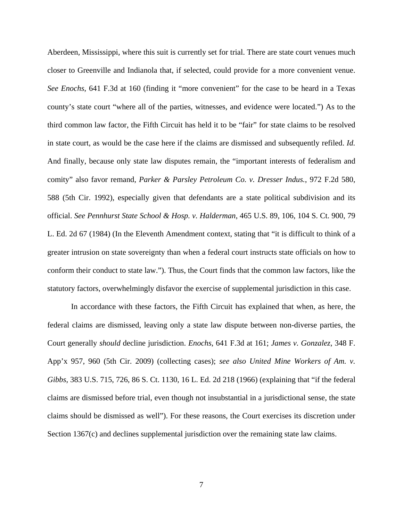Aberdeen, Mississippi, where this suit is currently set for trial. There are state court venues much closer to Greenville and Indianola that, if selected, could provide for a more convenient venue. *See Enochs*, 641 F.3d at 160 (finding it "more convenient" for the case to be heard in a Texas county's state court "where all of the parties, witnesses, and evidence were located.") As to the third common law factor, the Fifth Circuit has held it to be "fair" for state claims to be resolved in state court, as would be the case here if the claims are dismissed and subsequently refiled. *Id.* And finally, because only state law disputes remain, the "important interests of federalism and comity" also favor remand, *Parker & Parsley Petroleum Co. v. Dresser Indus.*, 972 F.2d 580, 588 (5th Cir. 1992), especially given that defendants are a state political subdivision and its official. *See Pennhurst State School & Hosp. v. Halderman*, 465 U.S. 89, 106, 104 S. Ct. 900, 79 L. Ed. 2d 67 (1984) (In the Eleventh Amendment context, stating that "it is difficult to think of a greater intrusion on state sovereignty than when a federal court instructs state officials on how to conform their conduct to state law."). Thus, the Court finds that the common law factors, like the statutory factors, overwhelmingly disfavor the exercise of supplemental jurisdiction in this case.

In accordance with these factors, the Fifth Circuit has explained that when, as here, the federal claims are dismissed, leaving only a state law dispute between non-diverse parties, the Court generally *should* decline jurisdiction. *Enochs*, 641 F.3d at 161; *James v. Gonzalez*, 348 F. App'x 957, 960 (5th Cir. 2009) (collecting cases); *see also United Mine Workers of Am. v. Gibbs*, 383 U.S. 715, 726, 86 S. Ct. 1130, 16 L. Ed. 2d 218 (1966) (explaining that "if the federal claims are dismissed before trial, even though not insubstantial in a jurisdictional sense, the state claims should be dismissed as well"). For these reasons, the Court exercises its discretion under Section 1367(c) and declines supplemental jurisdiction over the remaining state law claims.